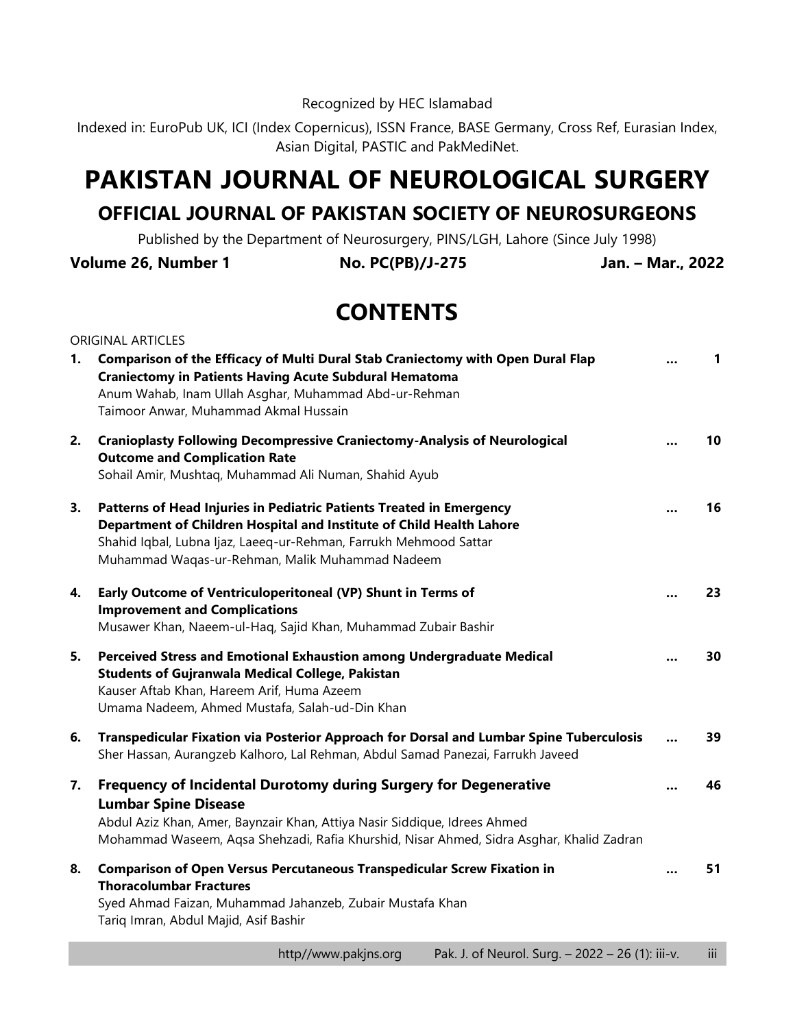Recognized by HEC Islamabad

Indexed in: EuroPub UK, ICI (Index Copernicus), ISSN France, BASE Germany, Cross Ref, Eurasian Index, Asian Digital, PASTIC and PakMediNet.

## **PAKISTAN JOURNAL OF NEUROLOGICAL SURGERY**

## **OFFICIAL JOURNAL OF PAKISTAN SOCIETY OF NEUROSURGEONS**

Published by the Department of Neurosurgery, PINS/LGH, Lahore (Since July 1998)

**Volume 26, Number 1 No. PC(PB)/J-275 Jan. – Mar., 2022**

## **CONTENTS**

|    | <b>ORIGINAL ARTICLES</b>                                                                                                                                                                                                                                                 |           |              |
|----|--------------------------------------------------------------------------------------------------------------------------------------------------------------------------------------------------------------------------------------------------------------------------|-----------|--------------|
| 1. | Comparison of the Efficacy of Multi Dural Stab Craniectomy with Open Dural Flap<br><b>Craniectomy in Patients Having Acute Subdural Hematoma</b><br>Anum Wahab, Inam Ullah Asghar, Muhammad Abd-ur-Rehman<br>Taimoor Anwar, Muhammad Akmal Hussain                       |           | $\mathbf{1}$ |
| 2. | <b>Cranioplasty Following Decompressive Craniectomy-Analysis of Neurological</b><br><b>Outcome and Complication Rate</b><br>Sohail Amir, Mushtaq, Muhammad Ali Numan, Shahid Ayub                                                                                        |           | 10           |
| 3. | Patterns of Head Injuries in Pediatric Patients Treated in Emergency<br>Department of Children Hospital and Institute of Child Health Lahore<br>Shahid Iqbal, Lubna Ijaz, Laeeq-ur-Rehman, Farrukh Mehmood Sattar<br>Muhammad Waqas-ur-Rehman, Malik Muhammad Nadeem     |           | 16           |
| 4. | Early Outcome of Ventriculoperitoneal (VP) Shunt in Terms of<br><b>Improvement and Complications</b><br>Musawer Khan, Naeem-ul-Haq, Sajid Khan, Muhammad Zubair Bashir                                                                                                   |           | 23           |
| 5. | Perceived Stress and Emotional Exhaustion among Undergraduate Medical<br><b>Students of Gujranwala Medical College, Pakistan</b><br>Kauser Aftab Khan, Hareem Arif, Huma Azeem<br>Umama Nadeem, Ahmed Mustafa, Salah-ud-Din Khan                                         |           | 30           |
| 6. | Transpedicular Fixation via Posterior Approach for Dorsal and Lumbar Spine Tuberculosis<br>Sher Hassan, Aurangzeb Kalhoro, Lal Rehman, Abdul Samad Panezai, Farrukh Javeed                                                                                               |           | 39           |
| 7. | Frequency of Incidental Durotomy during Surgery for Degenerative<br><b>Lumbar Spine Disease</b><br>Abdul Aziz Khan, Amer, Baynzair Khan, Attiya Nasir Siddique, Idrees Ahmed<br>Mohammad Waseem, Aqsa Shehzadi, Rafia Khurshid, Nisar Ahmed, Sidra Asghar, Khalid Zadran |           | 46           |
| 8. | <b>Comparison of Open Versus Percutaneous Transpedicular Screw Fixation in</b><br><b>Thoracolumbar Fractures</b><br>Syed Ahmad Faizan, Muhammad Jahanzeb, Zubair Mustafa Khan<br>Tariq Imran, Abdul Majid, Asif Bashir                                                   | $\ddotsc$ | 51           |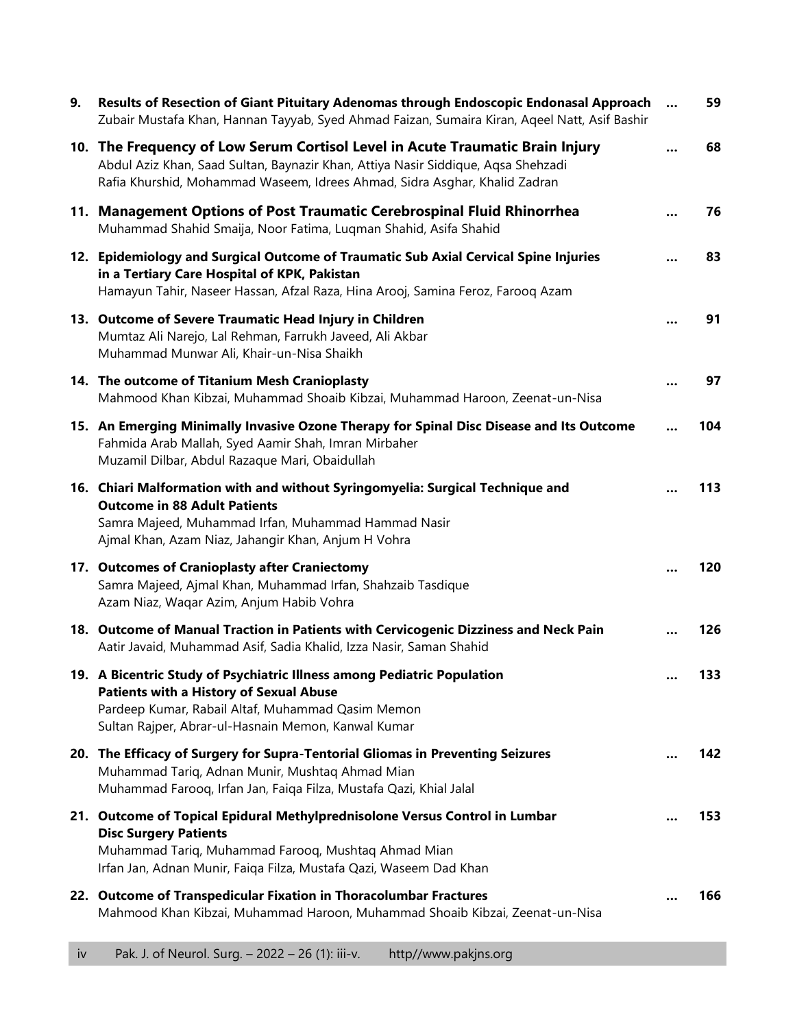| 9. | Results of Resection of Giant Pituitary Adenomas through Endoscopic Endonasal Approach<br>Zubair Mustafa Khan, Hannan Tayyab, Syed Ahmad Faizan, Sumaira Kiran, Aqeel Natt, Asif Bashir                                                          | 59  |
|----|--------------------------------------------------------------------------------------------------------------------------------------------------------------------------------------------------------------------------------------------------|-----|
|    | 10. The Frequency of Low Serum Cortisol Level in Acute Traumatic Brain Injury<br>Abdul Aziz Khan, Saad Sultan, Baynazir Khan, Attiya Nasir Siddique, Aqsa Shehzadi<br>Rafia Khurshid, Mohammad Waseem, Idrees Ahmad, Sidra Asghar, Khalid Zadran | 68  |
|    | 11. Management Options of Post Traumatic Cerebrospinal Fluid Rhinorrhea<br>Muhammad Shahid Smaija, Noor Fatima, Luqman Shahid, Asifa Shahid                                                                                                      | 76  |
|    | 12. Epidemiology and Surgical Outcome of Traumatic Sub Axial Cervical Spine Injuries<br>in a Tertiary Care Hospital of KPK, Pakistan<br>Hamayun Tahir, Naseer Hassan, Afzal Raza, Hina Arooj, Samina Feroz, Farooq Azam                          | 83  |
|    | 13. Outcome of Severe Traumatic Head Injury in Children<br>Mumtaz Ali Narejo, Lal Rehman, Farrukh Javeed, Ali Akbar<br>Muhammad Munwar Ali, Khair-un-Nisa Shaikh                                                                                 | 91  |
|    | 14. The outcome of Titanium Mesh Cranioplasty<br>Mahmood Khan Kibzai, Muhammad Shoaib Kibzai, Muhammad Haroon, Zeenat-un-Nisa                                                                                                                    | 97  |
|    | 15. An Emerging Minimally Invasive Ozone Therapy for Spinal Disc Disease and Its Outcome<br>Fahmida Arab Mallah, Syed Aamir Shah, Imran Mirbaher<br>Muzamil Dilbar, Abdul Razaque Mari, Obaidullah                                               | 104 |
|    | 16. Chiari Malformation with and without Syringomyelia: Surgical Technique and<br><b>Outcome in 88 Adult Patients</b><br>Samra Majeed, Muhammad Irfan, Muhammad Hammad Nasir<br>Ajmal Khan, Azam Niaz, Jahangir Khan, Anjum H Vohra              | 113 |
|    | 17. Outcomes of Cranioplasty after Craniectomy<br>Samra Majeed, Ajmal Khan, Muhammad Irfan, Shahzaib Tasdique<br>Azam Niaz, Waqar Azim, Anjum Habib Vohra                                                                                        | 120 |
|    | 18. Outcome of Manual Traction in Patients with Cervicogenic Dizziness and Neck Pain<br>Aatir Javaid, Muhammad Asif, Sadia Khalid, Izza Nasir, Saman Shahid                                                                                      | 126 |
|    | 19. A Bicentric Study of Psychiatric Illness among Pediatric Population<br><b>Patients with a History of Sexual Abuse</b><br>Pardeep Kumar, Rabail Altaf, Muhammad Qasim Memon<br>Sultan Rajper, Abrar-ul-Hasnain Memon, Kanwal Kumar            | 133 |
|    | 20. The Efficacy of Surgery for Supra-Tentorial Gliomas in Preventing Seizures<br>Muhammad Tariq, Adnan Munir, Mushtaq Ahmad Mian<br>Muhammad Farooq, Irfan Jan, Faiqa Filza, Mustafa Qazi, Khial Jalal                                          | 142 |
|    | 21. Outcome of Topical Epidural Methylprednisolone Versus Control in Lumbar<br><b>Disc Surgery Patients</b><br>Muhammad Tariq, Muhammad Farooq, Mushtaq Ahmad Mian<br>Irfan Jan, Adnan Munir, Faiqa Filza, Mustafa Qazi, Waseem Dad Khan         | 153 |
|    | 22. Outcome of Transpedicular Fixation in Thoracolumbar Fractures<br>Mahmood Khan Kibzai, Muhammad Haroon, Muhammad Shoaib Kibzai, Zeenat-un-Nisa                                                                                                | 166 |